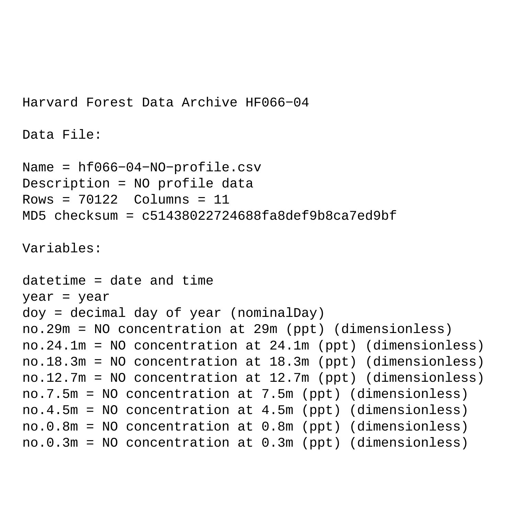```
Harvard Forest Data Archive HF066−04
Data File:
Name = hf066−04−NO−profile.csv
Description = NO profile data 
Rows = 70122 Columns = 11
MD5 checksum = c51438022724688fa8def9b8ca7ed9bf
Variables:
datetime = date and time 
year = year 
doy = decimal day of year (nominalDay) 
no.29m = NO concentration at 29m (ppt) (dimensionless) 
no.24.1m = NO concentration at 24.1m (ppt) (dimensionless) 
no.18.3m = NO concentration at 18.3m (ppt) (dimensionless) 
no.12.7m = NO concentration at 12.7m (ppt) (dimensionless) 
no.7.5m = NO concentration at 7.5m (ppt) (dimensionless) 
no.4.5m = NO concentration at 4.5m (ppt) (dimensionless) 
no.0.8m = NO concentration at 0.8m (ppt) (dimensionless) 
no.0.3m = NO concentration at 0.3m (ppt) (dimensionless)
```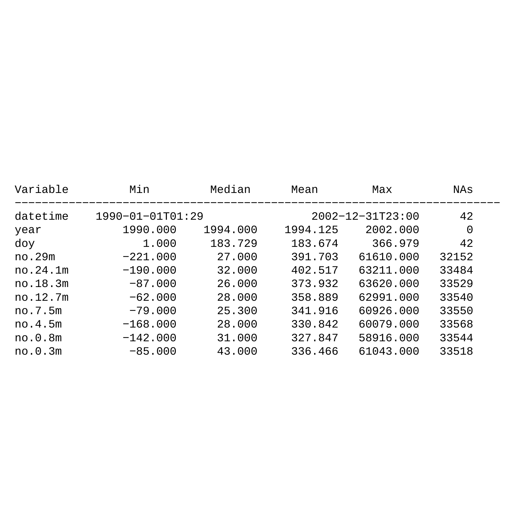| Variable | Min              | Median   | Mean                   | Max       | NAs   |  |
|----------|------------------|----------|------------------------|-----------|-------|--|
| datetime | 1990-01-01T01:29 |          | $2002 - 12 - 31T23:00$ |           | 42    |  |
| year     | 1990.000         | 1994.000 | 1994.125               | 2002.000  | 0     |  |
| doy      | 1.000            | 183.729  | 183.674                | 366.979   | 42    |  |
| no.29m   | $-221.000$       | 27.000   | 391.703                | 61610.000 | 32152 |  |
| no.24.1m | $-190.000$       | 32.000   | 402.517                | 63211.000 | 33484 |  |
| no.18.3m | $-87.000$        | 26.000   | 373.932                | 63620.000 | 33529 |  |
| no.12.7m | $-62.000$        | 28,000   | 358.889                | 62991.000 | 33540 |  |
| no.7.5m  | $-79.000$        | 25.300   | 341.916                | 60926.000 | 33550 |  |
| no.4.5m  | $-168.000$       | 28,000   | 330.842                | 60079.000 | 33568 |  |
| no.0.8m  | $-142.000$       | 31,000   | 327.847                | 58916.000 | 33544 |  |
| no.0.3m  | $-85.000$        | 43.000   | 336.466                | 61043.000 | 33518 |  |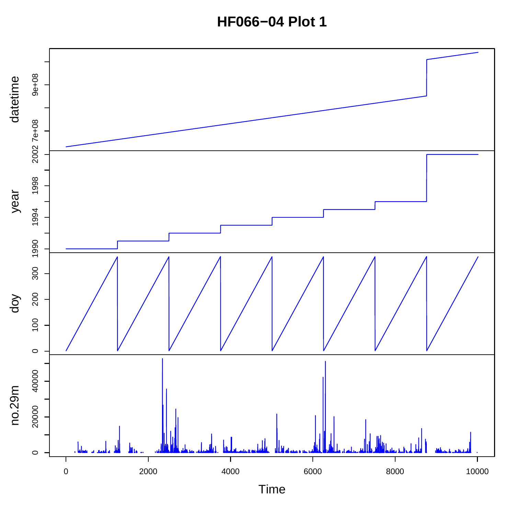**HF066-04 Plot 1** 

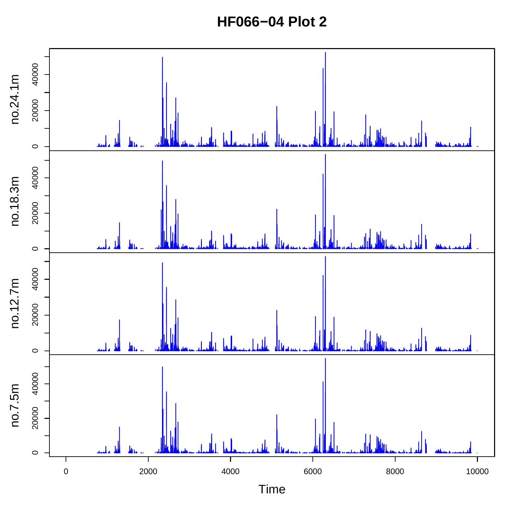**HF066−04 Plot 2**